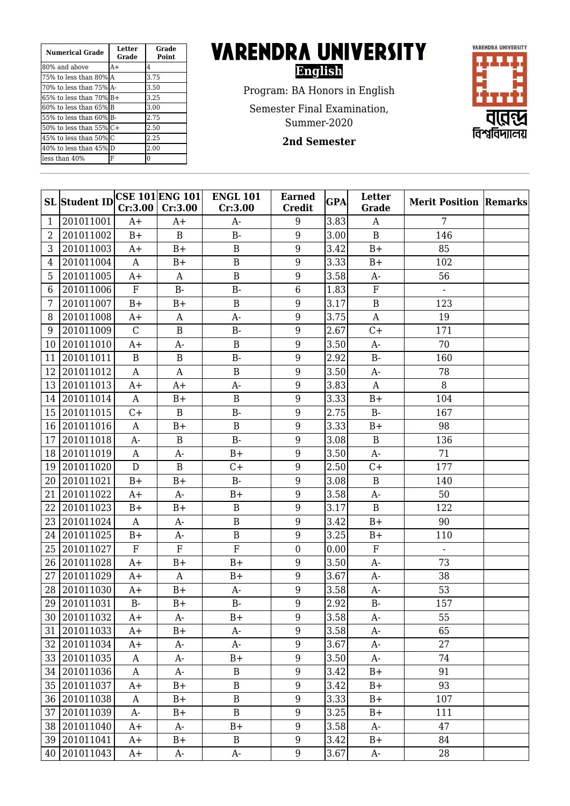| <b>Numerical Grade</b>        | Letter<br>Grade | Grade<br><b>Point</b> |
|-------------------------------|-----------------|-----------------------|
| 80% and above                 | $A+$            | 4                     |
| 75% to less than 80%LA        |                 | 3.75                  |
| 170% to less than 75%1A-      |                 | 3.50                  |
| $65\%$ to less than $70\%$ B+ |                 | 3.25                  |
| 60% to less than 65% B        |                 | 3.00                  |
| 55% to less than 60% B-       |                 | 2.75                  |
| 50% to less than $55\%$ C+    |                 | 2.50                  |
| 45% to less than 50%IC        |                 | 2.25                  |
| 40% to less than 45% D        |                 | 2.00                  |
| lless than 40%                | F               | 0                     |

## **VARENDRA UNIVERSITY English**

Program: BA Honors in English

Semester Final Examination,

Summer-2020

**2nd Semester**



|    | <b>SL</b> Student ID | Cr:3.00        | CSE 101 ENG 101 <br>Cr:3.00 | <b>ENGL 101</b><br>Cr:3.00 | <b>Earned</b><br>Credit | <b>GPA</b> | Letter<br>Grade | <b>Merit Position Remarks</b> |  |
|----|----------------------|----------------|-----------------------------|----------------------------|-------------------------|------------|-----------------|-------------------------------|--|
| 1  | 201011001            | A+             | A+                          | A-                         | 9                       | 3.83       | A               | 7                             |  |
| 2  | 201011002            | $B+$           | B                           | $B-$                       | 9                       | 3.00       | $\mathbf B$     | 146                           |  |
| 3  | 201011003            | $A+$           | $B+$                        | $\overline{B}$             | 9                       | 3.42       | $B+$            | 85                            |  |
| 4  | 201011004            | A              | $B+$                        | $\overline{B}$             | 9                       | 3.33       | $B+$            | 102                           |  |
| 5  | 201011005            | $A+$           | A                           | $\overline{B}$             | 9                       | 3.58       | $A-$            | 56                            |  |
| 6  | 201011006            | $\overline{F}$ | $B -$                       | $B-$                       | 6                       | 1.83       | $\overline{F}$  |                               |  |
| 7  | 201011007            | $B+$           | $B+$                        | $\mathbf B$                | 9                       | 3.17       | $\overline{B}$  | 123                           |  |
| 8  | 201011008            | $A+$           | A                           | $A-$                       | 9                       | 3.75       | $\mathbf{A}$    | 19                            |  |
| 9  | 201011009            | $\mathcal{C}$  | $\overline{B}$              | $B-$                       | 9                       | 2.67       | $C +$           | 171                           |  |
| 10 | 201011010            | $A+$           | A-                          | $\mathbf B$                | 9                       | 3.50       | $A-$            | 70                            |  |
| 11 | 201011011            | B              | B                           | $B -$                      | 9                       | 2.92       | $B -$           | 160                           |  |
| 12 | 201011012            | $\mathbf{A}$   | A                           | $\mathbf B$                | 9                       | 3.50       | $A-$            | 78                            |  |
| 13 | 201011013            | $A+$           | $A+$                        | $A-$                       | 9                       | 3.83       | $\mathbf{A}$    | 8                             |  |
| 14 | 201011014            | A              | $B+$                        | $\overline{B}$             | 9                       | 3.33       | $B+$            | 104                           |  |
| 15 | 201011015            | C+             | B                           | $B-$                       | 9                       | 2.75       | $B -$           | 167                           |  |
| 16 | 201011016            | $\mathbf{A}$   | $B+$                        | $\overline{B}$             | 9                       | 3.33       | $B+$            | 98                            |  |
| 17 | 201011018            | $A -$          | B                           | $B -$                      | 9                       | 3.08       | $\mathbf B$     | 136                           |  |
| 18 | 201011019            | A              | A-                          | $B+$                       | 9                       | 3.50       | $A-$            | 71                            |  |
| 19 | 201011020            | D              | B                           | $C+$                       | 9                       | 2.50       | $C+$            | 177                           |  |
| 20 | 201011021            | $B+$           | $B+$                        | $B-$                       | 9                       | 3.08       | $\mathbf B$     | 140                           |  |
| 21 | 201011022            | $A+$           | $A-$                        | $B+$                       | 9                       | 3.58       | $A-$            | 50                            |  |
| 22 | 201011023            | $B+$           | $B+$                        | $\mathbf B$                | 9                       | 3.17       | $\mathbf B$     | 122                           |  |
| 23 | 201011024            | A              | A-                          | $\mathbf B$                | 9                       | 3.42       | $B+$            | 90                            |  |
| 24 | 201011025            | $B+$           | $A-$                        | $\mathbf B$                | 9                       | 3.25       | $B+$            | 110                           |  |
| 25 | 201011027            | $\mathbf F$    | $\overline{F}$              | $\overline{F}$             | $\overline{0}$          | 0.00       | $\overline{F}$  | $\blacksquare$                |  |
| 26 | 201011028            | $A+$           | $B+$                        | $B+$                       | 9                       | 3.50       | $A-$            | 73                            |  |
| 27 | 201011029            | $A+$           | A                           | $B+$                       | 9                       | 3.67       | $A-$            | 38                            |  |
| 28 | 201011030            | A+             | $B+$                        | A-                         | 9                       | 3.58       | A-              | 53                            |  |
| 29 | 201011031            | $B -$          | $B+$                        | $B-$                       | 9                       | 2.92       | $B-$            | 157                           |  |
|    | 30 201011032         | $A+$           | A-                          | $B+$                       | 9                       | 3.58       | A-              | 55                            |  |
|    | 31 201011033         | $A+$           | $B+$                        | A-                         | 9                       | 3.58       | $A-$            | 65                            |  |
|    | 32 201011034         | $A+$           | A-                          | A-                         | 9                       | 3.67       | A-              | 27                            |  |
|    | 33 201011035         | A              | A-                          | $B+$                       | $\overline{9}$          | 3.50       | $A-$            | 74                            |  |
|    | 34 201011036         | A              | A-                          | $\, {\bf B}$               | 9                       | 3.42       | $B+$            | 91                            |  |
|    | 35 201011037         | $A+$           | $B+$                        | $\, {\bf B}$               | 9                       | 3.42       | $B+$            | 93                            |  |
|    | 36 201011038         | A              | $B+$                        | $\, {\bf B}$               | 9                       | 3.33       | $B+$            | 107                           |  |
|    | 37 201011039         | A-             | $B+$                        | $\, {\bf B}$               | 9                       | 3.25       | $B+$            | 111                           |  |
|    | 38 201011040         | $A+$           | A-                          | $B+$                       | 9                       | 3.58       | A-              | 47                            |  |
|    | 39 201011041         | $A+$           | $B+$                        | $\, {\bf B}$               | 9                       | 3.42       | $B+$            | 84                            |  |

40 201011043 A+ A- A- 9 3.67 A- 28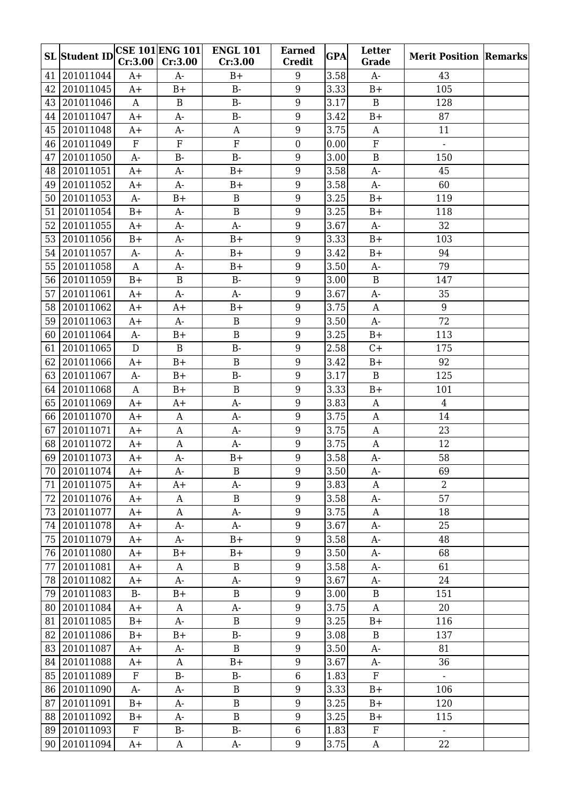|    | SL Student IDCSE 101 ENG 101 | Cr:3.00      | Cr:3.00      | <b>ENGL 101</b><br>Cr:3.00 | <b>Earned</b><br><b>Credit</b> | <b>GPA</b> | Letter<br>Grade  | <b>Merit Position Remarks</b> |  |
|----|------------------------------|--------------|--------------|----------------------------|--------------------------------|------------|------------------|-------------------------------|--|
| 41 | 201011044                    | $A+$         | $A-$         | $B+$                       | 9                              | 3.58       | $A-$             | 43                            |  |
| 42 | 201011045                    | $A+$         | $B+$         | $B -$                      | 9                              | 3.33       | $B+$             | 105                           |  |
|    | 43 201011046                 | $\mathbf{A}$ | $\, {\bf B}$ | $B -$                      | 9                              | 3.17       | $\mathbf B$      | 128                           |  |
|    | 44 201011047                 | $A+$         | $A-$         | $B-$                       | 9                              | 3.42       | $B+$             | 87                            |  |
| 45 | 201011048                    | $A+$         | A-           | $\mathbf{A}$               | 9                              | 3.75       | $\mathbf{A}$     | 11                            |  |
|    | 46 201011049                 | $\mathbf F$  | $\mathbf F$  | ${\bf F}$                  | $\boldsymbol{0}$               | 0.00       | ${\bf F}$        | $\blacksquare$                |  |
| 47 | 201011050                    | $A-$         | $B -$        | $B -$                      | 9                              | 3.00       | $\mathbf B$      | 150                           |  |
| 48 | 201011051                    | $A+$         | $A-$         | $B+$                       | 9                              | 3.58       | $A-$             | 45                            |  |
|    | 49 201011052                 | $A+$         | $A-$         | $B+$                       | 9                              | 3.58       | $A-$             | 60                            |  |
| 50 | 201011053                    | $A-$         | $B+$         | $\mathbf B$                | 9                              | 3.25       | $B+$             | 119                           |  |
| 51 | 201011054                    | $B+$         | $A-$         | $\, {\bf B}$               | 9                              | 3.25       | $B+$             | 118                           |  |
| 52 | 201011055                    | $A+$         | $A-$         | $A-$                       | 9                              | 3.67       | $A-$             | $\overline{32}$               |  |
| 53 | 201011056                    | $B+$         | $A-$         | $B+$                       | 9                              | 3.33       | $B+$             | 103                           |  |
| 54 | 201011057                    | $A-$         | A-           | $B+$                       | 9                              | 3.42       | $B+$             | 94                            |  |
|    | 55 201011058                 | $\mathbf{A}$ | A-           | $B+$                       | 9                              | 3.50       | $A-$             | 79                            |  |
| 56 | 201011059                    | $B+$         | $\, {\bf B}$ | $B-$                       | 9                              | 3.00       | $\, {\bf B}$     | 147                           |  |
| 57 | 201011061                    | $A+$         | $A-$         | $A-$                       | 9                              | 3.67       | $A-$             | 35                            |  |
| 58 | 201011062                    | $A+$         | $A+$         | $B+$                       | 9                              | 3.75       | $\boldsymbol{A}$ | 9                             |  |
|    | 59 201011063                 | $A+$         | $A-$         | $\, {\bf B}$               | 9                              | 3.50       | $A-$             | 72                            |  |
| 60 | 201011064                    | $A-$         | $B+$         | $\, {\bf B}$               | 9                              | 3.25       | $B+$             | 113                           |  |
| 61 | 201011065                    | D            | $\mathbf B$  | $B-$                       | 9                              | 2.58       | $C +$            | 175                           |  |
| 62 | 201011066                    | $A+$         | $B+$         | $\mathbf B$                | 9                              | 3.42       | $B+$             | 92                            |  |
|    | 63 201011067                 | $A-$         | $B+$         | $B -$                      | 9                              | 3.17       | $\mathbf B$      | 125                           |  |
|    | 64 201011068                 | A            | $B+$         | $\mathbf B$                | 9                              | 3.33       | $B+$             | 101                           |  |
|    | 65 201011069                 | $A+$         | $A+$         | $A-$                       | 9                              | 3.83       | $\mathbf{A}$     | $\overline{4}$                |  |
|    | 66 201011070                 | $A+$         | A            | $A-$                       | 9                              | 3.75       | $\mathbf{A}$     | 14                            |  |
| 67 | 201011071                    | $A+$         | $\mathbf{A}$ | $A-$                       | 9                              | 3.75       | $\mathbf{A}$     | 23                            |  |
|    | 68 201011072                 | $A+$         | $\mathbf{A}$ | $A-$                       | 9                              | 3.75       | $\mathbf{A}$     | 12                            |  |
| 69 | 201011073                    | $A+$         | $A-$         | $B+$                       | 9                              | 3.58       | $A-$             | 58                            |  |
|    | 70 201011074                 | $A+$         | $A-$         | $\, {\bf B}$               | $\boldsymbol{9}$               | 3.50       | $A-$             | 69                            |  |
|    | 71   201011075               | $A+$         | $A+$         | $A-$                       | 9                              | 3.83       | A                | $\overline{2}$                |  |
|    | 72 201011076                 | A+           | A            | B                          | 9                              | 3.58       | $A-$             | 57                            |  |
|    | 73 201011077                 | $A+$         | $\mathbf{A}$ | $A-$                       | 9                              | 3.75       | $\mathbf{A}$     | 18                            |  |
|    | 74 201011078                 | $A+$         | A-           | $A-$                       | 9                              | 3.67       | $A-$             | 25                            |  |
|    | 75 201011079                 | $A+$         | A-           | $B+$                       | 9                              | 3.58       | A-               | 48                            |  |
|    | 76 201011080                 | $A+$         | $B+$         | $B+$                       | 9                              | 3.50       | $A-$             | 68                            |  |
|    | 77 201011081                 | $A+$         | A            | $\mathbf B$                | 9                              | 3.58       | A-               | 61                            |  |
|    | 78 201011082                 | $A+$         | $A-$         | $A-$                       | $9\,$                          | 3.67       | $A-$             | 24                            |  |
|    | 79 201011083                 | $B-$         | $B+$         | $\, {\bf B}$               | $9\,$                          | 3.00       | $\, {\bf B}$     | 151                           |  |
|    | 80 201011084                 | $A+$         | A            | $A-$                       | 9                              | 3.75       | $\mathbf A$      | 20                            |  |
|    | 81 201011085                 | $B+$         | A-           | $\, {\bf B}$               | $9\,$                          | 3.25       | $B+$             | 116                           |  |
|    | 82 201011086                 | $B+$         | $B+$         | $B-$                       | 9                              | 3.08       | $\, {\bf B}$     | 137                           |  |
|    | 83 201011087                 | $A+$         | A-           | $\mathbf B$                | 9                              | 3.50       | $A-$             | 81                            |  |
|    | 84 201011088                 | $A+$         | $\mathbf{A}$ | $B+$                       | 9                              | 3.67       | $A-$             | 36                            |  |
|    | 85 201011089                 | $\mathbf{F}$ | $B -$        | $B-$                       | $\,6\,$                        | 1.83       | $\rm F$          | $\omega$                      |  |
|    | 86 201011090                 | A-           | $A-$         | $\, {\bf B}$               | $9\,$                          | 3.33       | $B+$             | 106                           |  |
|    | 87 201011091                 | $B+$         | A-           | $\, {\bf B}$               | $9\,$                          | 3.25       | $B+$             | 120                           |  |
|    | 88 201011092                 | $B+$         | A-           | $\, {\bf B}$               | 9                              | 3.25       | $B+$             | 115                           |  |
|    | 89 201011093                 | F            | $B -$        | $\rm B$ -                  | 6                              | 1.83       | $\mathbf F$      | $\mathbb{Z}^{\mathbb{Z}}$     |  |
|    | 90 201011094                 | $A+$         | A            | A-                         | $\boldsymbol{9}$               | 3.75       | $\mathbf{A}$     | 22                            |  |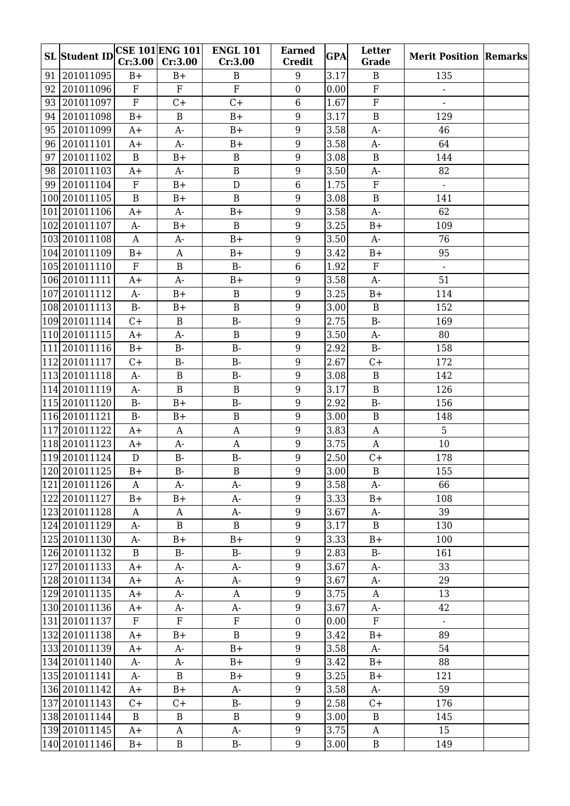|    | <b>SL</b> Student ID | Cr:3.00      | <b>CSE 101 ENG 101</b><br>Cr:3.00 | <b>ENGL 101</b><br>Cr:3.00 | <b>Earned</b><br><b>Credit</b> | <b>GPA</b> | Letter<br>Grade | <b>Merit Position Remarks</b> |  |
|----|----------------------|--------------|-----------------------------------|----------------------------|--------------------------------|------------|-----------------|-------------------------------|--|
| 91 | 201011095            | $B+$         | $B+$                              | B                          | 9                              | 3.17       | $\, {\bf B}$    | 135                           |  |
| 92 | 201011096            | ${\bf F}$    | $\rm F$                           | $\overline{F}$             | $\mathbf{0}$                   | 0.00       | $\overline{F}$  |                               |  |
|    | 93 201011097         | ${\bf F}$    | $C +$                             | $C +$                      | $\,6$                          | 1.67       | ${\bf F}$       | $\overline{\phantom{a}}$      |  |
|    | 94 201011098         | $B+$         | $\overline{B}$                    | $B+$                       | 9                              | 3.17       | $\overline{B}$  | 129                           |  |
| 95 | 201011099            | $A+$         | $A-$                              | $B+$                       | 9                              | 3.58       | $A-$            | 46                            |  |
|    | 96 201011101         | $A+$         | $A-$                              | $B+$                       | 9                              | 3.58       | A-              | 64                            |  |
| 97 | 201011102            | $\mathbf B$  | $B+$                              | $\, {\bf B}$               | 9                              | 3.08       | $\, {\bf B}$    | 144                           |  |
|    | 98 201011103         | $A+$         | $A-$                              | $\, {\bf B}$               | 9                              | 3.50       | A-              | 82                            |  |
|    | 99 201011104         | $\rm F$      | $B+$                              | ${\rm D}$                  | 6                              | 1.75       | ${\bf F}$       | $\mathbf{r}$                  |  |
|    | 100 201011105        | $\, {\bf B}$ | $B+$                              | $\mathbf B$                | 9                              | 3.08       | $\, {\bf B}$    | 141                           |  |
|    | 101 2010 11106       | $A+$         | $A-$                              | $B+$                       | 9                              | 3.58       | $A-$            | 62                            |  |
|    | 102 2010 11107       | $A-$         | $B+$                              | $\, {\bf B}$               | 9                              | 3.25       | $B+$            | 109                           |  |
|    | 103 2010 11108       | $\mathbf{A}$ | $A-$                              | $B+$                       | 9                              | 3.50       | $A-$            | 76                            |  |
|    | 104 2010 11109       | $B+$         | A                                 | $B+$                       | 9                              | 3.42       | $B+$            | 95                            |  |
|    | 105 2010 11110       | $\mathbf F$  | $\overline{B}$                    | $B -$                      | 6                              | 1.92       | ${\bf F}$       |                               |  |
|    | 106 2010 1111        | $A+$         | A-                                | $B+$                       | 9                              | 3.58       | $A-$            | 51                            |  |
|    | 107 2010 11112       | $A-$         | $B+$                              | $\, {\bf B}$               | 9                              | 3.25       | $B+$            | 114                           |  |
|    | 108 2010 11113       | $B -$        | $B+$                              | $\mathbf B$                | 9                              | 3.00       | $\, {\bf B}$    | 152                           |  |
|    | 109 2010 11114       | $C +$        | B                                 | $B -$                      | 9                              | 2.75       | $B -$           | 169                           |  |
|    | 110 2010 11115       | $A+$         | $A-$                              | $\, {\bf B}$               | 9                              | 3.50       | $A-$            | 80                            |  |
|    | 111 2010 11116       | $B+$         | $B -$                             | $B-$                       | 9                              | 2.92       | $B-$            | 158                           |  |
|    | 112 2010 11117       | $C +$        | <b>B-</b>                         | $B -$                      | 9                              | 2.67       | $C +$           | 172                           |  |
|    | 113 2010 11118       | $A-$         | B                                 | $B -$                      | 9                              | 3.08       | $\, {\bf B}$    | 142                           |  |
|    | 114 2010 11119       | A-           | $\overline{B}$                    | $\mathbf B$                | 9                              | 3.17       | $\, {\bf B}$    | 126                           |  |
|    | 115 2010 11120       | $B -$        | $B+$                              | $B-$                       | 9                              | 2.92       | $B-$            | 156                           |  |
|    | 116 2010 11121       | $B-$         | $B+$                              | $\, {\bf B}$               | 9                              | 3.00       | $\, {\bf B}$    | 148                           |  |
|    | 117 2010 1122        | $A+$         | $\mathbf{A}$                      | A                          | 9                              | 3.83       | $\mathbf{A}$    | 5                             |  |
|    | 118 2010 11123       | $A+$         | $A-$                              | $\mathbf{A}$               | 9                              | 3.75       | $\mathbf{A}$    | 10                            |  |
|    | 119 2010 11124       | D            | $B -$                             | $B-$                       | 9                              | 2.50       | $C+$            | 178                           |  |
|    | 120 201011125        | $B+$         | $B-$                              | $\, {\bf B}$               | $\boldsymbol{9}$               | 3.00       | $\, {\bf B}$    | 155                           |  |
|    | 121 2010 11126       | A            | A-                                | A-                         | 9                              | 3.58       | $A-$            | 66                            |  |
|    | 122 2010 1127        | $B+$         | $B+$                              | A-                         | 9                              | 3.33       | $B+$            | 108                           |  |
|    | 123 201011128        | $\mathbf{A}$ | $\mathbf{A}$                      | $A-$                       | 9                              | 3.67       | $A-$            | 39                            |  |
|    | 124  201011129       | A-           | $\mathbf B$                       | $\mathbf{B}$               | 9                              | 3.17       | $\mathbf{B}$    | 130                           |  |
|    | 125 2010 11130       | A-           | $B+$                              | $B+$                       | 9                              | 3.33       | $B+$            | 100                           |  |
|    | 126 2010 11132       | $\mathbf B$  | $B-$                              | $B -$                      | 9                              | 2.83       | $B-$            | 161                           |  |
|    | 127 2010 11133       | $A+$         | A-                                | $A-$                       | 9                              | 3.67       | A-              | 33                            |  |
|    | 128 2010 11134       | $A+$         | $A-$                              | $A-$                       | 9                              | 3.67       | $A-$            | 29                            |  |
|    | 129  201011135       | $A+$         | A-                                | A                          | 9                              | 3.75       | $\mathbf{A}$    | 13                            |  |
|    | 130 2010 11136       | A+           | A-                                | $A-$                       | 9                              | 3.67       | A-              | 42                            |  |
|    | 131 2010 1137        | $\rm F$      | $\mathbf{F}$                      | $\mathbf F$                | $\boldsymbol{0}$               | 0.00       | $\mathbf F$     | $\mathbb{L}^{\mathbb{N}}$     |  |
|    | 132 2010 1138        | $A+$         | $B+$                              | $\mathbf B$                | 9                              | 3.42       | $B+$            | 89                            |  |
|    | 133 2010 11139       | $A+$         | $A-$                              | $B+$                       | 9                              | 3.58       | $A-$            | 54                            |  |
|    | 134  201011140       | A-           | $A-$                              | $B+$                       | 9                              | 3.42       | $B+$            | 88                            |  |
|    | 135 2010 11141       | A-           | $\mathbf B$                       | $B+$                       | $9\,$                          | 3.25       | $B+$            | 121                           |  |
|    | 136 2010 11142       | $A+$         | $B+$                              | $A-$                       | 9                              | 3.58       | $A-$            | 59                            |  |
|    | 137 2010 11143       | $C +$        | $C +$                             | $B-$                       | 9                              | 2.58       | $C +$           | 176                           |  |
|    | 138 2010 11144       | B            | $\, {\bf B}$                      | $\mathbf B$                | 9                              | 3.00       | $\mathbf B$     | 145                           |  |
|    | 139 2010 11145       | $A+$         | A                                 | $A-$                       | $9\,$                          | 3.75       | A               | 15                            |  |
|    | 140 2010 11146       | $B+$         | $\mathbf B$                       | <b>B-</b>                  | $9\phantom{.0}$                | 3.00       | $\, {\bf B}$    | 149                           |  |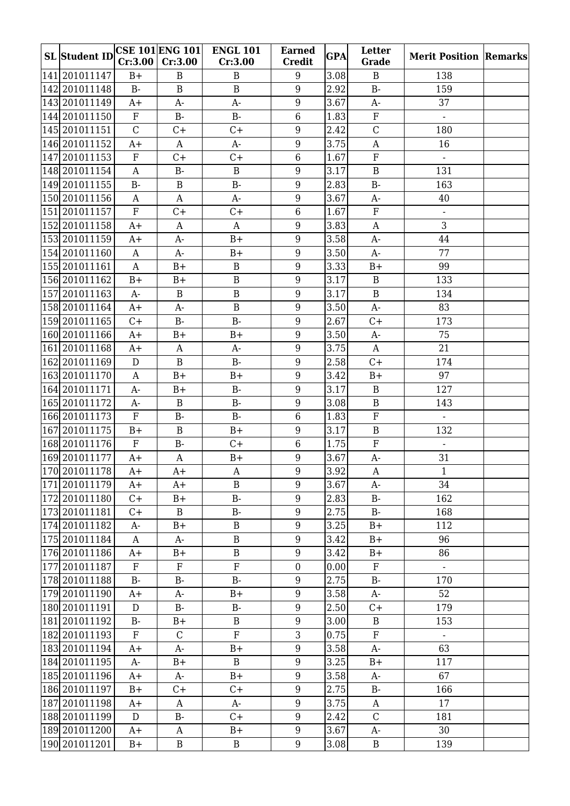| <b>SL</b> Student ID | Cr:3.00      | <b>CSE 101 ENG 101</b><br>Cr:3.00 | <b>ENGL 101</b><br>Cr:3.00 | <b>Earned</b><br><b>Credit</b> | <b>GPA</b> | Letter<br>Grade           | <b>Merit Position Remarks</b> |  |
|----------------------|--------------|-----------------------------------|----------------------------|--------------------------------|------------|---------------------------|-------------------------------|--|
| 141 2010 11147       | $B+$         | $\bf{B}$                          | B                          | 9                              | 3.08       | $\mathbf B$               | 138                           |  |
| 142 201011148        | $B-$         | $\, {\bf B}$                      | $\, {\bf B}$               | 9                              | 2.92       | $B-$                      | 159                           |  |
| 143 2010 11149       | $A+$         | $A-$                              | $A-$                       | 9                              | 3.67       | $A-$                      | 37                            |  |
| 144 201011150        | ${\bf F}$    | $B -$                             | $B -$                      | $6\phantom{1}6$                | 1.83       | ${\bf F}$                 | $\overline{\phantom{a}}$      |  |
| 145 2010 11151       | $\mathsf C$  | C+                                | $C +$                      | 9                              | 2.42       | $\overline{C}$            | 180                           |  |
| 146 201011152        | $A+$         | A                                 | $A-$                       | 9                              | 3.75       | A                         | 16                            |  |
| 147 2010 11153       | $\mathbf F$  | $C+$                              | $C +$                      | $6\phantom{1}6$                | 1.67       | $\rm F$                   |                               |  |
| 148 201011154        | $\mathbf{A}$ | <b>B-</b>                         | $\, {\bf B}$               | 9                              | 3.17       | $\, {\bf B}$              | 131                           |  |
| 149 2010 11155       | $B -$        | $\mathbf B$                       | $B -$                      | 9                              | 2.83       | $B-$                      | 163                           |  |
| 150 2010 11156       | A            | $\mathbf{A}$                      | $A-$                       | $9\,$                          | 3.67       | $A-$                      | 40                            |  |
| 151 2010 11157       | ${\bf F}$    | $C +$                             | $C +$                      | $6\phantom{1}6$                | 1.67       | F                         | $\blacksquare$                |  |
| 152 2010 11158       | $A+$         | $\mathbf{A}$                      | $\mathbf{A}$               | $9\,$                          | 3.83       | $\mathbf A$               | $\overline{3}$                |  |
| 153 2010 11159       | $A+$         | $A-$                              | $B+$                       | 9                              | 3.58       | $A-$                      | 44                            |  |
| 154 201011160        | $\mathbf{A}$ | $A-$                              | $B+$                       | 9                              | 3.50       | $A-$                      | 77                            |  |
| 155 2010 11161       | $\mathbf{A}$ | $B+$                              | $\, {\bf B}$               | 9                              | 3.33       | $B+$                      | 99                            |  |
| 156 2010 11162       | $B+$         | $B+$                              | $\, {\bf B}$               | 9                              | 3.17       | $\mathbf B$               | 133                           |  |
| 157 2010 11163       | $A-$         | $\bf{B}$                          | $\, {\bf B}$               | 9                              | 3.17       | $\, {\bf B}$              | 134                           |  |
| 158 201011164        | $A+$         | $A-$                              | $\, {\bf B}$               | $9\,$                          | 3.50       | $A-$                      | 83                            |  |
| 159 201011165        | $C+$         | $B -$                             | $B -$                      | 9                              | 2.67       | $C +$                     | 173                           |  |
| 160 2010 11166       | $A+$         | $B+$                              | $B+$                       | 9                              | 3.50       | $A-$                      | 75                            |  |
| 161 2010 11168       | $A+$         | A                                 | $A-$                       | 9                              | 3.75       | $\mathbf{A}$              | 21                            |  |
| 162 201011169        | ${\rm D}$    | $\bf{B}$                          | $B -$                      | 9                              | 2.58       | $C +$                     | 174                           |  |
| 163 201011170        | $\mathbf{A}$ | $B+$                              | $B+$                       | 9                              | 3.42       | $B+$                      | 97                            |  |
| 164 201011171        | $A-$         | $B+$                              | $B -$                      | 9                              | 3.17       | $\bf{B}$                  | 127                           |  |
| 165 2010 11172       | $A-$         | $\mathbf B$                       | $B -$                      | $9\,$                          | 3.08       | $\, {\bf B}$              | 143                           |  |
| 166 2010 11173       | ${\bf F}$    | $B -$                             | $B -$                      | 6                              | 1.83       | ${\bf F}$                 | $\mathbb{Z}^+$                |  |
| 167 2010 11175       | $B+$         | $\, {\bf B}$                      | $B+$                       | 9                              | 3.17       | $\mathbf B$               | 132                           |  |
| 168 2010 11176       | ${\bf F}$    | $B-$                              | $C +$                      | 6                              | 1.75       | ${\bf F}$                 | $\blacksquare$                |  |
| 169 2010 11177       | $A+$         | $\mathbf{A}$                      | $B+$                       | 9                              | 3.67       | $A-$                      | 31                            |  |
| 170 201011178        | $A+$         | $A+$                              | $\mathbf A$                | $\boldsymbol{9}$               | 3.92       | $\boldsymbol{\mathrm{A}}$ | $\mathbf{1}$                  |  |
| 171 2010 11179       | A+           | A+                                | B                          | 9                              | 3.67       | A-                        | 34                            |  |
| 172 2010 11180       | C+           | $B+$                              | $B -$                      | 9                              | 2.83       | <b>B-</b>                 | 162                           |  |
| 173 2010 11181       | $C+$         | $\mathbf{B}$                      | $B -$                      | $9\,$                          | 2.75       | $B-$                      | 168                           |  |
| 174 2010 11182       | A-           | $B+$                              | $\mathbf B$                | $\boldsymbol{9}$               | 3.25       | $B+$                      | 112                           |  |
| 175 2010 11184       | A            | $A-$                              | $\mathbf B$                | 9                              | 3.42       | $B+$                      | 96                            |  |
| 176 2010 11186       | $A+$         | $B+$                              | $\, {\bf B}$               | $9\,$                          | 3.42       | $B+$                      | 86                            |  |
| 177 2010 11187       | F            | $\rm F$                           | ${\bf F}$                  | $\boldsymbol{0}$               | 0.00       | $\rm F$                   | $\blacksquare$                |  |
| 178 2010 11188       | $B-$         | <b>B-</b>                         | $B -$                      | 9                              | 2.75       | $B-$                      | 170                           |  |
| 179 201011190        | $A+$         | $A-$                              | $B+$                       | $9\,$                          | 3.58       | $A-$                      | 52                            |  |
| 180  201011191       | D            | $B-$                              | $B-$                       | 9                              | 2.50       | $C +$                     | 179                           |  |
| 181 2010 11192       | $B-$         | $B+$                              | $\mathbf B$                | $9\,$                          | 3.00       | $\mathbf{B}$              | 153                           |  |
| 182 2010 11193       | $\mathbf F$  | $\mathsf{C}$                      | $\rm F$                    | 3                              | 0.75       | $\rm F$                   | $\blacksquare$                |  |
| 183 2010 11194       | $A+$         | $A-$                              | $B+$                       | 9                              | 3.58       | $A-$                      | 63                            |  |
| 184 2010 11195       | $A-$         | $B+$                              | $\mathbf{B}$               | $9\,$                          | 3.25       | $B+$                      | 117                           |  |
| 185 2010 11196       | $A+$         | A-                                | $B+$                       | $9\,$                          | 3.58       | A-                        | 67                            |  |
| 186 2010 11197       | $B+$         | $C +$                             | $C +$                      | $\boldsymbol{9}$               | 2.75       | $B-$                      | 166                           |  |
| 187 2010 11198       | $A+$         | A                                 | A-                         | $\boldsymbol{9}$               | 3.75       | A                         | 17                            |  |
| 188 2010 11199       | D            | $B-$                              | C+                         | 9                              | 2.42       | $\mathsf C$               | 181                           |  |
| 189 2010 11200       | $A+$         | $\mathbf{A}$                      | $B+$                       | $9\,$                          | 3.67       | $A-$                      | 30                            |  |
| 190 2010 1120 1      | $B+$         | $\, {\bf B}$                      | B                          | $\boldsymbol{9}$               | 3.08       | B                         | 139                           |  |